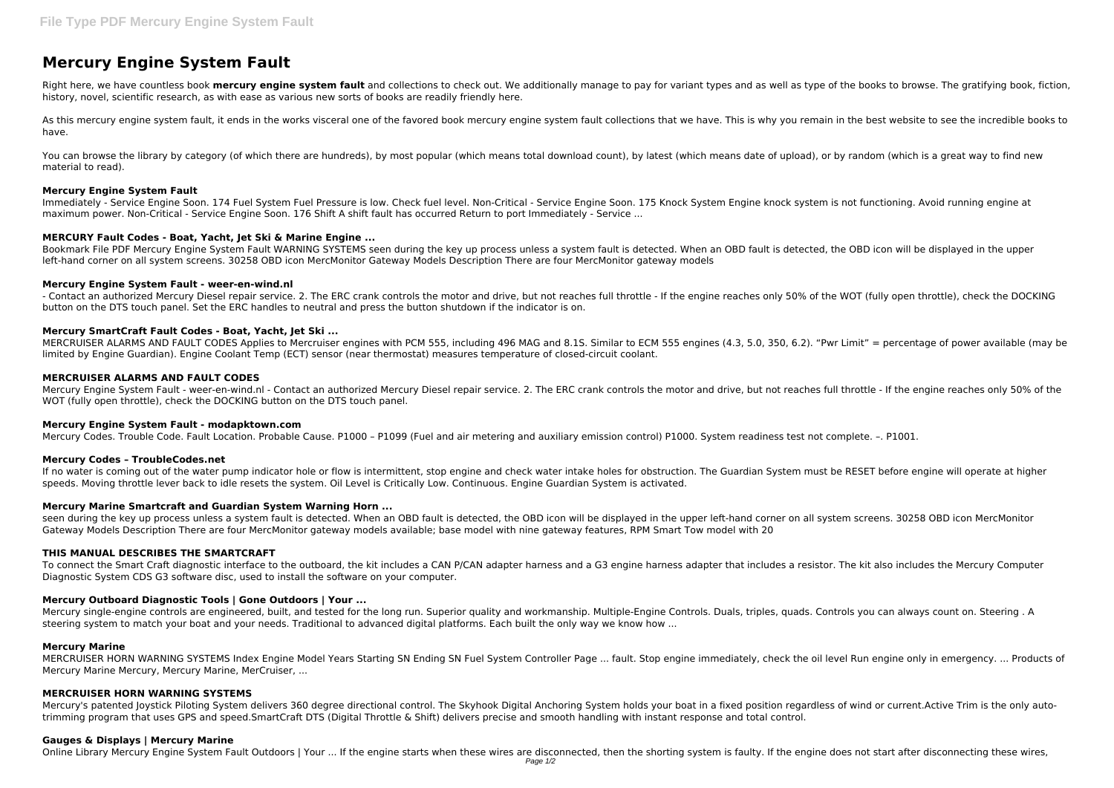# **Mercury Engine System Fault**

Right here, we have countless book **mercury engine system fault** and collections to check out. We additionally manage to pay for variant types and as well as type of the books to browse. The gratifying book, fiction, history, novel, scientific research, as with ease as various new sorts of books are readily friendly here.

As this mercury engine system fault, it ends in the works visceral one of the favored book mercury engine system fault collections that we have. This is why you remain in the best website to see the incredible books to have.

You can browse the library by category (of which there are hundreds), by most popular (which means total download count), by latest (which means date of upload), or by random (which is a great way to find new material to read).

Immediately ‑ Service Engine Soon. 174 Fuel System Fuel Pressure is low. Check fuel level. Non‑Critical ‑ Service Engine Soon. 175 Knock System Engine knock system is not functioning. Avoid running engine at maximum power. Non-Critical - Service Engine Soon. 176 Shift A shift fault has occurred Return to port Immediately - Service ...

Bookmark File PDF Mercury Engine System Fault WARNING SYSTEMS seen during the key up process unless a system fault is detected. When an OBD fault is detected, the OBD icon will be displayed in the upper left-hand corner on all system screens. 30258 OBD icon MercMonitor Gateway Models Description There are four MercMonitor gateway models

## **Mercury Engine System Fault**

- Contact an authorized Mercury Diesel repair service. 2. The ERC crank controls the motor and drive, but not reaches full throttle - If the engine reaches only 50% of the WOT (fully open throttle), check the DOCKING button on the DTS touch panel. Set the ERC handles to neutral and press the button shutdown if the indicator is on.

MERCRUISER ALARMS AND FAULT CODES Applies to Mercruiser engines with PCM 555, including 496 MAG and 8.1S. Similar to ECM 555 engines (4.3, 5.0, 350, 6.2). "Pwr Limit" = percentage of power available (may be limited by Engine Guardian). Engine Coolant Temp (ECT) sensor (near thermostat) measures temperature of closed-circuit coolant.

## **MERCURY Fault Codes - Boat, Yacht, Jet Ski & Marine Engine ...**

# **Mercury Engine System Fault - weer-en-wind.nl**

If no water is coming out of the water pump indicator hole or flow is intermittent, stop engine and check water intake holes for obstruction. The Guardian System must be RESET before engine will operate at higher speeds. Moving throttle lever back to idle resets the system. Oil Level is Critically Low. Continuous. Engine Guardian System is activated.

seen during the key up process unless a system fault is detected. When an OBD fault is detected, the OBD icon will be displayed in the upper left-hand corner on all system screens. 30258 OBD icon MercMonitor Gateway Models Description There are four MercMonitor gateway models available; base model with nine gateway features, RPM Smart Tow model with 20

## **Mercury SmartCraft Fault Codes - Boat, Yacht, Jet Ski ...**

## **MERCRUISER ALARMS AND FAULT CODES**

Mercury Engine System Fault - weer-en-wind.nl - Contact an authorized Mercury Diesel repair service. 2. The ERC crank controls the motor and drive, but not reaches full throttle - If the engine reaches only 50% of the WOT (fully open throttle), check the DOCKING button on the DTS touch panel.

Mercury's patented loystick Piloting System delivers 360 degree directional control. The Skyhook Digital Anchoring System holds your boat in a fixed position regardless of wind or current.Active Trim is the only autotrimming program that uses GPS and speed.SmartCraft DTS (Digital Throttle & Shift) delivers precise and smooth handling with instant response and total control.

## **Mercury Engine System Fault - modapktown.com**

Mercury Codes. Trouble Code. Fault Location. Probable Cause. P1000 – P1099 (Fuel and air metering and auxiliary emission control) P1000. System readiness test not complete. –. P1001.

## **Mercury Codes – TroubleCodes.net**

# **Mercury Marine Smartcraft and Guardian System Warning Horn ...**

## **THIS MANUAL DESCRIBES THE SMARTCRAFT**

To connect the Smart Craft diagnostic interface to the outboard, the kit includes a CAN P/CAN adapter harness and a G3 engine harness adapter that includes a resistor. The kit also includes the Mercury Computer Diagnostic System CDS G3 software disc, used to install the software on your computer.

# **Mercury Outboard Diagnostic Tools | Gone Outdoors | Your ...**

Mercury single-engine controls are engineered, built, and tested for the long run. Superior quality and workmanship. Multiple-Engine Controls. Duals, triples, quads. Controls you can always count on. Steering . A steering system to match your boat and your needs. Traditional to advanced digital platforms. Each built the only way we know how ...

## **Mercury Marine**

MERCRUISER HORN WARNING SYSTEMS Index Engine Model Years Starting SN Ending SN Fuel System Controller Page ... fault. Stop engine immediately, check the oil level Run engine only in emergency. ... Products of Mercury Marine Mercury, Mercury Marine, MerCruiser, ...

## **MERCRUISER HORN WARNING SYSTEMS**

## **Gauges & Displays | Mercury Marine**

Online Library Mercury Engine System Fault Outdoors | Your ... If the engine starts when these wires are disconnected, then the shorting system is faulty. If the engine does not start after disconnecting these wires,